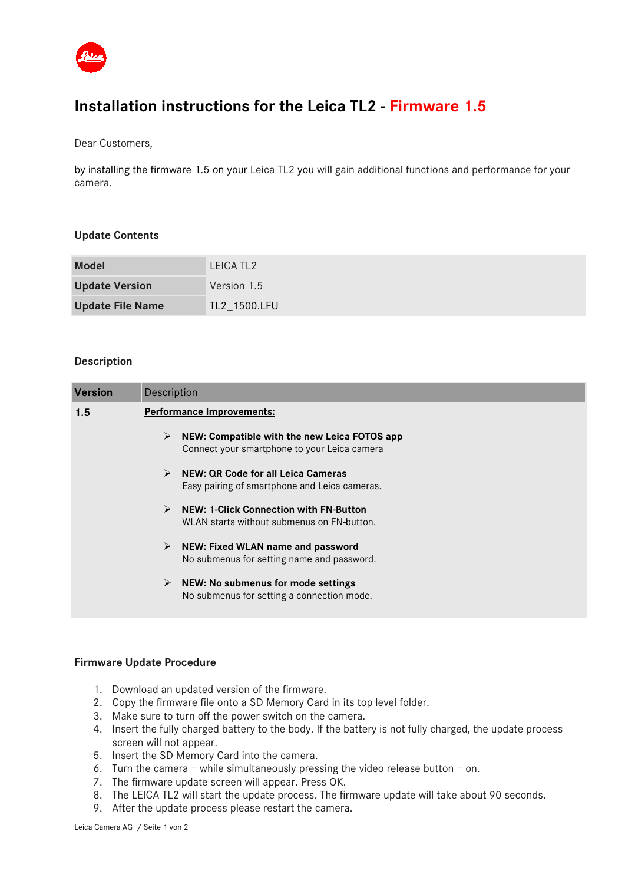

# **Installation instructions for the Leica TL2 - Firmware 1.5**

Dear Customers,

by installing the firmware 1.5 on your Leica TL2 you will gain additional functions and performance for your camera.

### **Update Contents**

| <b>Model</b>            | LEICA TL <sub>2</sub> |
|-------------------------|-----------------------|
| <b>Update Version</b>   | Version 1.5           |
| <b>Update File Name</b> | TL2_1500.LFU          |

#### **Description**

| <b>Version</b> | Description                                                                                                          |  |
|----------------|----------------------------------------------------------------------------------------------------------------------|--|
| 1.5            | <b>Performance Improvements:</b>                                                                                     |  |
|                | ≻<br>NEW: Compatible with the new Leica FOTOS app<br>Connect your smartphone to your Leica camera                    |  |
|                | NEW: QR Code for all Leica Cameras<br>$\blacktriangleright$<br>Easy pairing of smartphone and Leica cameras.         |  |
|                | $\blacktriangleright$<br><b>NEW: 1-Click Connection with FN-Button</b><br>WLAN starts without submenus on FN-button. |  |
|                | $\triangleright$ NEW: Fixed WLAN name and password<br>No submenus for setting name and password.                     |  |
|                | $\triangleright$ NEW: No submenus for mode settings<br>No submenus for setting a connection mode.                    |  |
|                |                                                                                                                      |  |

#### **Firmware Update Procedure**

- 1. Download an updated version of the firmware.
- 2. Copy the firmware file onto a SD Memory Card in its top level folder.
- 3. Make sure to turn off the power switch on the camera.
- 4. Insert the fully charged battery to the body. If the battery is not fully charged, the update process screen will not appear.
- 5. Insert the SD Memory Card into the camera.
- 6. Turn the camera while simultaneously pressing the video release button on.
- 7. The firmware update screen will appear. Press OK.
- 8. The LEICA TL2 will start the update process. The firmware update will take about 90 seconds.
- 9. After the update process please restart the camera.